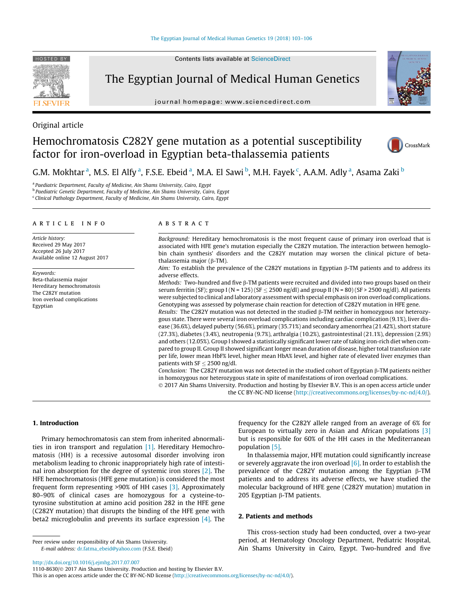

Contents lists available at [ScienceDirect](http://www.sciencedirect.com/science/journal/11108630)

# The Egyptian Journal of Medical Human Genetics

journal homepage: [www.sciencedirect.com](http://www.sciencedirect.com)



# Original article

# Hemochromatosis C282Y gene mutation as a potential susceptibility factor for iron-overload in Egyptian beta-thalassemia patients



G.M. Mokhtar <sup>a</sup>, M.S. El Alfy <sup>a</sup>, F.S.E. Ebeid <sup>a</sup>, M.A. El Sawi <sup>b</sup>, M.H. Fayek <sup>c</sup>, A.A.M. Adly <sup>a</sup>, Asama Zaki <sup>b</sup>

<sup>a</sup> Paediatric Department, Faculty of Medicine, Ain Shams University, Cairo, Egypt

<sup>b</sup> Paediatric Genetic Department, Faculty of Medicine, Ain Shams University, Cairo, Egypt

<sup>c</sup> Clinical Pathology Department, Faculty of Medicine, Ain Shams University, Cairo, Egypt

### article info

Article history: Received 29 May 2017 Accepted 26 July 2017 Available online 12 August 2017

Keywords: Beta-thalassemia major Hereditary hemochromatosis The C282Y mutation Iron overload complications Egyptian

#### ABSTRACT

Background: Hereditary hemochromatosis is the most frequent cause of primary iron overload that is associated with HFE gene's mutation especially the C282Y mutation. The interaction between hemoglobin chain synthesis' disorders and the C282Y mutation may worsen the clinical picture of betathalassemia major ( $\beta$ -TM).

Aim: To establish the prevalence of the C282Y mutations in Egyptian  $\beta$ -TM patients and to address its adverse effects.

Methods: Two-hundred and five  $\beta$ -TM patients were recruited and divided into two groups based on their serum ferritin (SF); group I (N = 125) (SF  $\leq$  2500 ng/dl) and group II (N = 80) (SF > 2500 ng/dl). All patients were subjected to clinical and laboratory assessment with special emphasis on iron overload complications. Genotyping was assessed by polymerase chain reaction for detection of C282Y mutation in HFE gene.

Results: The C282Y mutation was not detected in the studied  $\beta$ -TM neither in homozygous nor heterozygous state. There were several iron overload complications including cardiac complication (9.1%), liver disease (36.6%), delayed puberty (56.6%), primary (35.71%) and secondary amenorrhea (21.42%), short stature (27.3%), diabetes (3.4%), neutropenia (9.7%), arthralgia (10.2%), gastrointestinal (21.1%), depression (2.9%) and others (12.05%). Group I showed a statistically significant lower rate of taking iron-rich diet when compared to group II. Group II showed significant longer mean duration of disease, higher total transfusion rate per life, lower mean HbF% level, higher mean HbA% level, and higher rate of elevated liver enzymes than patients with  $SF \leq 2500$  ng/dl.

Conclusion: The C282Y mutation was not detected in the studied cohort of Egyptian  $\beta$ -TM patients neither in homozygous nor heterozygous state in spite of manifestations of iron overload complications.

 2017 Ain Shams University. Production and hosting by Elsevier B.V. This is an open access article under the CC BY-NC-ND license (<http://creativecommons.org/licenses/by-nc-nd/4.0/>).

#### 1. Introduction

Primary hemochromatosis can stem from inherited abnormalities in iron transport and regulation [\[1\].](#page-3-0) Hereditary Hemochromatosis (HH) is a recessive autosomal disorder involving iron metabolism leading to chronic inappropriately high rate of intestinal iron absorption for the degree of systemic iron stores [\[2\]](#page-3-0). The HFE hemochromatosis (HFE gene mutation) is considered the most frequent form representing >90% of HH cases [\[3\]](#page-3-0). Approximately 80–90% of clinical cases are homozygous for a cysteine-totyrosine substitution at amino acid position 282 in the HFE gene (C282Y mutation) that disrupts the binding of the HFE gene with beta2 microglobulin and prevents its surface expression [\[4\]](#page-3-0). The

E-mail address: [dr.fatma\\_ebeid@yahoo.com](mailto:dr.fatma_ebeid@yahoo.com) (F.S.E. Ebeid)

frequency for the C282Y allele ranged from an average of 6% for European to virtually zero in Asian and African populations [\[3\]](#page-3-0) but is responsible for 60% of the HH cases in the Mediterranean population [\[5\].](#page-3-0)

In thalassemia major, HFE mutation could significantly increase or severely aggravate the iron overload  $[6]$ . In order to establish the prevalence of the C282Y mutation among the Egyptian  $\beta$ -TM patients and to address its adverse effects, we have studied the molecular background of HFE gene (C282Y mutation) mutation in 205 Egyptian  $\beta$ -TM patients.

## 2. Patients and methods

This cross-section study had been conducted, over a two-year period, at Hematology Oncology Department, Pediatric Hospital, Ain Shams University in Cairo, Egypt. Two-hundred and five

<http://dx.doi.org/10.1016/j.ejmhg.2017.07.007>

1110-8630/ 2017 Ain Shams University. Production and hosting by Elsevier B.V.

Peer review under responsibility of Ain Shams University.

This is an open access article under the CC BY-NC-ND license ([http://creativecommons.org/licenses/by-nc-nd/4.0/\)](http://creativecommons.org/licenses/by-nc-nd/4.0/).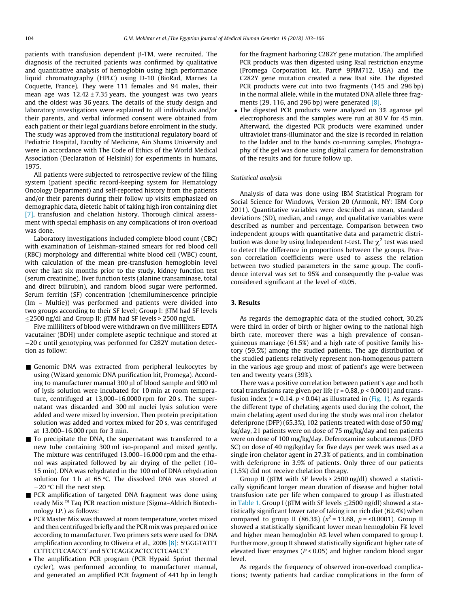patients with transfusion dependent  $\beta$ -TM, were recruited. The diagnosis of the recruited patients was confirmed by qualitative and quantitative analysis of hemoglobin using high performance liquid chromatography (HPLC) using D-10 (BioRad, Marnes La Coquette, France). They were 111 females and 94 males, their mean age was  $12.42 \pm 7.35$  years, the youngest was two years and the oldest was 36 years. The details of the study design and laboratory investigations were explained to all individuals and/or their parents, and verbal informed consent were obtained from each patient or their legal guardians before enrolment in the study. The study was approved from the institutional regulatory board of Pediatric Hospital, Faculty of Medicine, Ain Shams University and were in accordance with The Code of Ethics of the World Medical Association (Declaration of Helsinki) for experiments in humans, 1975.

All patients were subjected to retrospective review of the filing system (patient specific record-keeping system for Hematology Oncology Department) and self-reported history from the patients and/or their parents during their follow up visits emphasized on demographic data, dietetic habit of taking high iron containing diet [\[7\]](#page-3-0), transfusion and chelation history. Thorough clinical assessment with special emphasis on any complications of iron overload was done.

Laboratory investigations included complete blood count (CBC) with examination of Leishman-stained smears for red blood cell (RBC) morphology and differential white blood cell (WBC) count, with calculation of the mean pre-transfusion hemoglobin level over the last six months prior to the study, kidney function test (serum creatinine), liver function tests (alanine transaminase, total and direct bilirubin), and random blood sugar were performed. Serum ferritin (SF) concentration (chemiluminescence principle (Im – Multie)) was performed and patients were divided into two groups according to their SF level; Group I:  $\beta$ TM had SF levels  $\leq$ 2500 ng/dl and Group II:  $\beta$ TM had SF levels > 2500 ng/dl.

Five milliliters of blood were withdrawn on five milliliters EDTA vacutainer (BDH) under complete aseptic technique and stored at 20 c until genotyping was performed for C282Y mutation detection as follow:

- Genomic DNA was extracted from peripheral leukocytes by using (Wizard genomic DNA purification kit, Promega). According to manufacturer manual 300  $\mu$ l of blood sample and 900 ml of lysis solution were incubated for 10 min at room temperature, centrifuged at 13,000–16,0000 rpm for 20 s. The supernatant was discarded and 300 ml nuclei lysis solution were added and were mixed by inversion. Then protein precipitation solution was added and vortex mixed for 20 s, was centrifuged at 13.000–16.000 rpm for 3 min.
- $\blacksquare$  To precipitate the DNA, the supernatant was transferred to a new tube containing 300 ml iso-propanol and mixed gently. The mixture was centrifuged 13.000–16.000 rpm and the ethanol was aspirated followed by air drying of the pellet (10– 15 min). DNA was rehydrated in the 100 ml of DNA rehydration solution for 1 h at 65 $\degree$ C. The dissolved DNA was stored at  $-20$  °C till the next step.
- PCR amplification of targeted DNA fragment was done using ready Mix ™ Taq PCR reaction mixture (Sigma-Aldrich Biotechnology LP.) as follows:
- PCR Master Mix was thawed at room temperature, vortex mixed and then centrifuged briefly and the PCR mix was prepared on ice according to manufacturer. Two primers sets were used for DNA amplification according to Oliveira et al., 2006 [\[8\]:](#page-3-0) 5'GGGTATTT CCTTCCTCCAACC3' and 5'CTCAGGCACTCCTCTCAACC3'
- The amplification PCR program (PCR Hypaid Sprint thermal cycler), was performed according to manufacturer manual, and generated an amplified PCR fragment of 441 bp in length

for the fragment harboring C282Y gene mutation. The amplified PCR products was then digested using RsaI restriction enzyme (Promega Corporation kit, Part# 9PIM712, USA) and the C282Y gene mutation created a new RsaI site. The digested PCR products were cut into two fragments (145 and 296 bp) in the normal allele, while in the mutated DNA allele three fragments (29, 116, and 296 bp) were generated  $[8]$ .

 The digested PCR products were analyzed on 3% agarose gel electrophoresis and the samples were run at 80 V for 45 min. Afterward, the digested PCR products were examined under ultraviolet trans-illuminator and the size is recorded in relation to the ladder and to the bands co-running samples. Photography of the gel was done using digital camera for demonstration of the results and for future follow up.

#### Statistical analysis

Analysis of data was done using IBM Statistical Program for Social Science for Windows, Version 20 (Armonk, NY: IBM Corp 2011). Quantitative variables were described as mean, standard deviations (SD), median, and range, and qualitative variables were described as number and percentage. Comparison between two independent groups with quantitative data and parametric distribution was done by using Independent *t*-test. The  $\chi^2$  test was used to detect the difference in proportions between the groups. Pearson correlation coefficients were used to assess the relation between two studied parameters in the same group. The confidence interval was set to 95% and consequently the p-value was considered significant at the level of <0.05.

# 3. Results

As regards the demographic data of the studied cohort, 30.2% were third in order of birth or higher owing to the national high birth rate, moreover there was a high prevalence of consanguineous marriage (61.5%) and a high rate of positive family history (59.5%) among the studied patients. The age distribution of the studied patients relatively represent non-homogenous pattern in the various age group and most of patient's age were between ten and twenty years (39%).

There was a positive correlation between patient's age and both total transfusions rate given per life ( $r = 0.88$ ,  $p < 0.0001$ ) and transfusion index ( $r = 0.14$ ,  $p < 0.04$ ) as illustrated in ([Fig. 1\)](#page-2-0). As regards the different type of chelating agents used during the cohort, the main chelating agent used during the study was oral iron chelator deferiprone (DFP) (65.3%), 102 patients treated with dose of 50 mg/ kg/day, 21 patients were on dose of 75 mg/kg/day and ten patients were on dose of 100 mg/kg/day. Deferoxamine subcutaneous (DFO SC) on dose of 40 mg/kg/day for five days per week was used as a single iron chelator agent in 27.3% of patients, and in combination with deferiprone in 3.9% of patients. Only three of our patients (1.5%) did not receive chelation therapy.

Group II ( $\beta$ TM with SF levels > 2500 ng/dl) showed a statistically significant longer mean duration of disease and higher total transfusion rate per life when compared to group I as illustrated in [Table 1.](#page-2-0) Group I ( $\beta$ TM with SF levels  $\leq$ 2500 ng/dl) showed a statistically significant lower rate of taking iron rich diet (62.4%) when compared to group II (86.3%) ( $x^2$  = 13.68, p = <0.0001). Group II showed a statistically significant lower mean hemoglobin F% level and higher mean hemoglobin A% level when compared to group I. Furthermore, group II showed statistically significant higher rate of elevated liver enzymes ( $P < 0.05$ ) and higher random blood sugar level.

As regards the frequency of observed iron-overload complications; twenty patients had cardiac complications in the form of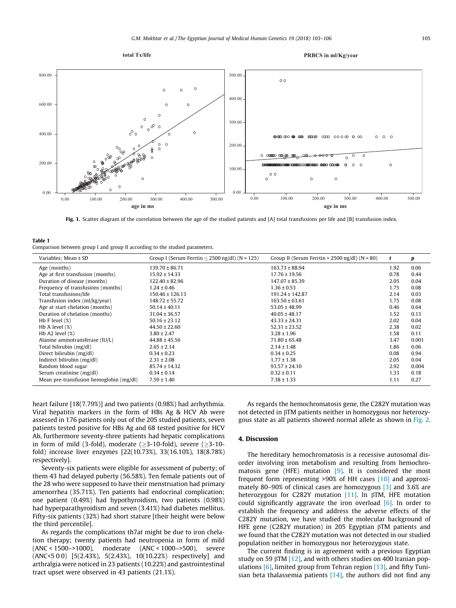<span id="page-2-0"></span>

Fig. 1. Scatter diagram of the correlation between the age of the studied patients and [A] total transfusions per life and [B] transfusion index.

#### Table 1

Comparison between group I and group II according to the studied parameters.

| Variables; Mean ± SD                    | Group I (Serum Ferrtin $<$ 2500 ng/dl) (N = 125) | Group II (Serum Ferrtin > 2500 ng/dl) ( $N = 80$ ) | t    | p     |
|-----------------------------------------|--------------------------------------------------|----------------------------------------------------|------|-------|
| Age (months)                            | $139.70 \pm 86.71$                               | $163.73 \pm 88.94$                                 | 1.92 | 0.06  |
| Age at first transfusion (months)       | $15.92 \pm 14.33$                                | $17.76 \pm 19.56$                                  | 0.78 | 0.44  |
| Duration of disease (months)            | $122.40 \pm 82.96$                               | $147.07 \pm 85.39$                                 | 2.05 | 0.04  |
| Frequency of transfusions (months)      | $1.24 \pm 0.46$                                  | $1.36 \pm 0.53$                                    | 1.75 | 0.08  |
| Total transfusions/life                 | $150.46 \pm 126.13$                              | $191.24 \pm 142.87$                                | 2.14 | 0.03  |
| Transfusion index (ml/kg/year)          | $148.72 \pm 55.72$                               | $163.50 \pm 63.61$                                 | 1.75 | 0.08  |
| Age at start chelation (months)         | $50.14 \pm 40.11$                                | $53.05 \pm 48.99$                                  | 0.46 | 0.64  |
| Duration of chelation (months)          | $31.04 \pm 36.57$                                | $40.05 \pm 48.17$                                  | 1.52 | 0.13  |
| Hb F level $(\%)$                       | $50.16 \pm 23.12$                                | $43.33 \pm 24.31$                                  | 2.02 | 0.04  |
| Hb A level $(\%)$                       | $44.50 \pm 22.60$                                | $52.31 \pm 23.52$                                  | 2.38 | 0.02  |
| Hb A2 level $(\%)$                      | $3.80 \pm 2.47$                                  | $3.28 \pm 1.96$                                    | 1.58 | 0.11  |
| Alanine aminotransferase (IU/L)         | $44.88 \pm 45.56$                                | $71.80 \pm 65.48$                                  | 3.47 | 0.001 |
| Total bilirubin (mg/dl)                 | $2.65 \pm 2.14$                                  | $2.14 \pm 1.48$                                    | 1.86 | 0.06  |
| Direct bilirubin (mg/dl)                | $0.34 \pm 0.23$                                  | $0.34 \pm 0.25$                                    | 0.08 | 0.94  |
| Indirect bilirubin (mg/dl)              | $2.31 \pm 2.08$                                  | $1.77 \pm 1.38$                                    | 2.05 | 0.04  |
| Random blood sugar                      | $85.74 \pm 14.32$                                | $93.57 \pm 24.10$                                  | 2.92 | 0.004 |
| Serum creatinine (mg/dl)                | $0.34 \pm 0.14$                                  | $0.32 \pm 0.11$                                    | 1.33 | 0.18  |
| Mean pre-transfusion hemoglobin (mg/dl) | $7.59 \pm 1.40$                                  | $7.38 \pm 1.33$                                    | 1.11 | 0.27  |

heart failure [18(7.79%)] and two patients (0.98%) had arrhythmia. Viral hepatitis markers in the form of HBs Ag & HCV Ab were assessed in 176 patients only out of the 205 studied patients, seven patients tested positive for HBs Ag and 68 tested positive for HCV Ab, furthermore seventy-three patients had hepatic complications in form of mild (3-fold), moderate  $(>3-10-fold)$ , severe  $(>3-10-fold)$ fold) increase liver enzymes [22(10.73%), 33(16.10%), 18(8.78%) respectively].

Seventy-six patients were eligible for assessment of puberty; of them 43 had delayed puberty (56.58%). Ten female patients out of the 28 who were supposed to have their menstruation had primary amenorrhea (35.71%). Ten patients had endocrinal complication; one patient (0.49%) had hypothyroidism, two patients (0.98%) had hyperparathyroidism and seven (3.41%) had diabetes mellitus. Fifty-six patients (32%) had short stature [their height were below the third percentile].

As regards the complications th7at might be due to iron chelation therapy; twenty patients had neutropenia in form of mild (ANC < 1500–>1000), moderate (ANC < 1000–>500), severe (ANC<5 0 0) [5(2.43%), 5(2.43%), 10(10.22%) respectively] and arthralgia were noticed in 23 patients (10.22%) and gastrointestinal tract upset were observed in 43 patients (21.1%).

As regards the hemochromatosis gene, the C282Y mutation was not detected in  $\beta$ TM patients neither in homozygous nor heterozygous state as all patients showed normal allele as shown in [Fig. 2.](#page-3-0)

## 4. Discussion

The hereditary hemochromatosis is a recessive autosomal disorder involving iron metabolism and resulting from hemochromatosis gene (HFE) mutation  $[9]$ . It is considered the most frequent form representing >90% of HH cases [\[10\]](#page-3-0) and approximately 80–90% of clinical cases are homozygous [\[3\]](#page-3-0) and 3.6% are heterozygous for C282Y mutation  $[11]$ . In  $\beta$ TM, HFE mutation could significantly aggravate the iron overload  $[6]$ . In order to establish the frequency and address the adverse effects of the C282Y mutation, we have studied the molecular background of HFE gene (C282Y mutation) in 205 Egyptian  $\beta$ TM patients and we found that the C282Y mutation was not detected in our studied population neither in homozygous nor heterozygous state.

The current finding is in agreement with a previous Egyptian study on 59  $\beta$ TM [\[12\],](#page-3-0) and with others studies on 400 Iranian populations  $[6]$ , limited group from Tehran region  $[13]$ , and fifty Tunisian beta thalassemia patients  $[14]$ , the authors did not find any